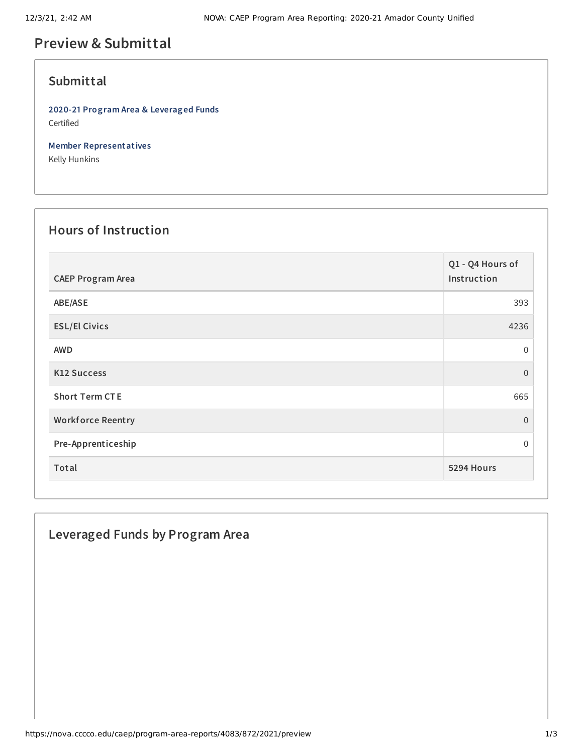# **Preview & Submittal**

#### **Submittal**

**2020-21 Program Area & Leveraged Funds** Certified

**Member Representatives**

Kelly Hunkins

## **Hours of Instruction**

| <b>CAEP Program Area</b> | Q1 - Q4 Hours of<br>Instruction |
|--------------------------|---------------------------------|
| ABE/ASE                  | 393                             |
| <b>ESL/El Civics</b>     | 4236                            |
| <b>AWD</b>               | 0                               |
| <b>K12 Success</b>       | $\overline{0}$                  |
| <b>Short Term CTE</b>    | 665                             |
| <b>Workforce Reentry</b> | $\overline{0}$                  |
| Pre-Apprenticeship       | 0                               |
| Total                    | 5294 Hours                      |

### **Leveraged Funds by Program Area**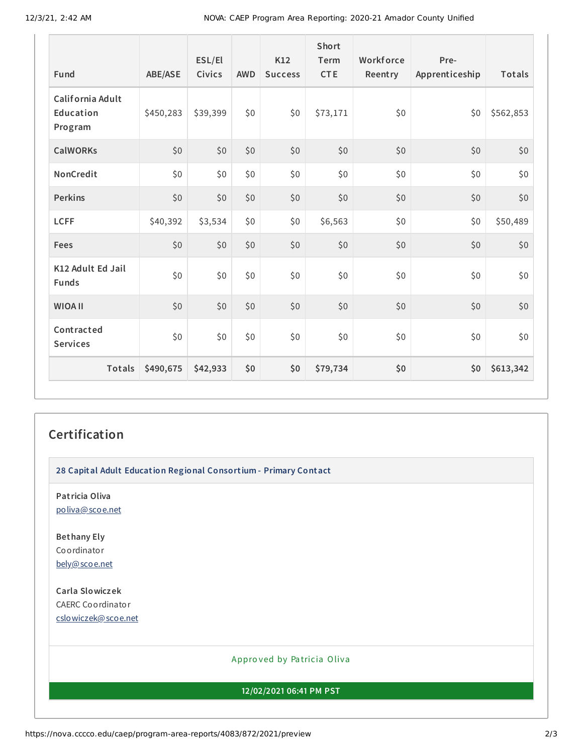| Fund                                     | ABE/ASE   | ESL/El<br><b>Civics</b> | <b>AWD</b> | K12<br><b>Success</b> | Short<br>Term<br><b>CTE</b> | Workforce<br>Reentry | Pre-<br>Apprenticeship | Totals    |
|------------------------------------------|-----------|-------------------------|------------|-----------------------|-----------------------------|----------------------|------------------------|-----------|
| California Adult<br>Education<br>Program | \$450,283 | \$39,399                | \$0        | \$0                   | \$73,171                    | \$0                  | \$0                    | \$562,853 |
| <b>CalWORKs</b>                          | \$0       | \$0                     | \$0        | \$0                   | \$0                         | \$0                  | \$0                    | \$0       |
| NonCredit                                | \$0       | \$0                     | \$0        | \$0                   | \$0                         | \$0                  | \$0                    | \$0       |
| <b>Perkins</b>                           | \$0       | \$0                     | \$0        | \$0                   | \$0                         | \$0                  | \$0                    | \$0       |
| <b>LCFF</b>                              | \$40,392  | \$3,534                 | \$0        | \$0                   | \$6,563                     | \$0                  | \$0                    | \$50,489  |
| Fees                                     | \$0       | \$0                     | \$0        | \$0                   | \$0                         | \$0                  | \$0                    | \$0       |
| K12 Adult Ed Jail<br><b>Funds</b>        | \$0       | \$0                     | \$0        | \$0                   | \$0                         | \$0                  | \$0                    | \$0       |
| <b>WIOA II</b>                           | \$0       | \$0                     | \$0        | \$0                   | \$0                         | \$0                  | \$0                    | \$0       |
| Contracted<br><b>Services</b>            | \$0       | \$0                     | \$0        | \$0                   | \$0                         | \$0                  | \$0                    | \$0       |
| <b>Totals</b>                            | \$490,675 | \$42,933                | \$0        | \$0                   | \$79,734                    | \$0                  | \$0                    | \$613,342 |

#### **Certification**

**28 Capital Adult Education Regional Consortium - Primary Contact**

**Patricia Oliva** [poliva@scoe.net](mailto:poliva@scoe.net)

**Bethany Ely** Coordinator [bely@scoe.net](mailto:bely@scoe.net)

**Carla Slowiczek** CAERC Coordinator [cslowiczek@scoe.net](mailto:cslowiczek@scoe.net)

#### Appro ved by Pa tricia Oliva

**12/02/2021 06:41 PM PST**